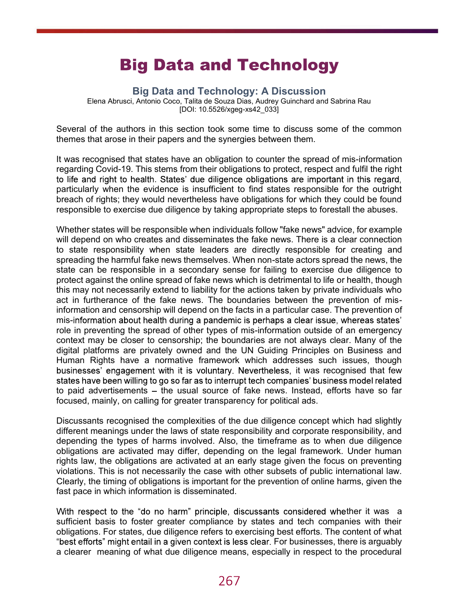## **Big Data and Technology**

Big Data and Technology: A Discussion

Elena Abrusci, Antonio Coco, Talita de Souza Dias, Audrey Guinchard and Sabrina Rau [DOI: 10.5526/xgeg-xs42\_033]

Several of the authors in this section took some time to discuss some of the common themes that arose in their papers and the synergies between them.

It was recognised that states have an obligation to counter the spread of mis-information regarding Covid-19. This stems from their obligations to protect, respect and fulfil the right to life and right to health. States' due diligence obligations are important in this regard, particularly when the evidence is insufficient to find states responsible for the outright breach of rights; they would nevertheless have obligations for which they could be found responsible to exercise due diligence by taking appropriate steps to forestall the abuses.

Whether states will be responsible when individuals follow "fake news" advice, for example will depend on who creates and disseminates the fake news. There is a clear connection to state responsibility when state leaders are directly responsible for creating and spreading the harmful fake news themselves. When non-state actors spread the news, the state can be responsible in a secondary sense for failing to exercise due diligence to protect against the online spread of fake news which is detrimental to life or health, though this may not necessarily extend to liability for the actions taken by private individuals who act in furtherance of the fake news. The boundaries between the prevention of misinformation and censorship will depend on the facts in a particular case. The prevention of mis-information about health during a pandemic is perhaps a clear issue, whereas states' role in preventing the spread of other types of mis-information outside of an emergency context may be closer to censorship; the boundaries are not always clear. Many of the digital platforms are privately owned and the UN Guiding Principles on Business and Human Rights have a normative framework which addresses such issues, though businesses' engagement with it is voluntary. Nevertheless, it was recognised that few states have been willing to go so far as to interrupt tech companies' business model related to paid advertisements – the usual source of fake news. Instead, efforts have so far focused, mainly, on calling for greater transparency for political ads.

Discussants recognised the complexities of the due diligence concept which had slightly different meanings under the laws of state responsibility and corporate responsibility, and depending the types of harms involved. Also, the timeframe as to when due diligence obligations are activated may differ, depending on the legal framework. Under human rights law, the obligations are activated at an early stage given the focus on preventing violations. This is not necessarily the case with other subsets of public international law. Clearly, the timing of obligations is important for the prevention of online harms, given the fast pace in which information is disseminated.

With respect to the "do no harm" principle, discussants considered whether it was a sufficient basis to foster greater compliance by states and tech companies with their obligations. For states, due diligence refers to exercising best efforts. The content of what "best efforts" might entail in a given context is less clear. For businesses, there is arguably a clearer meaning of what due diligence means, especially in respect to the procedural